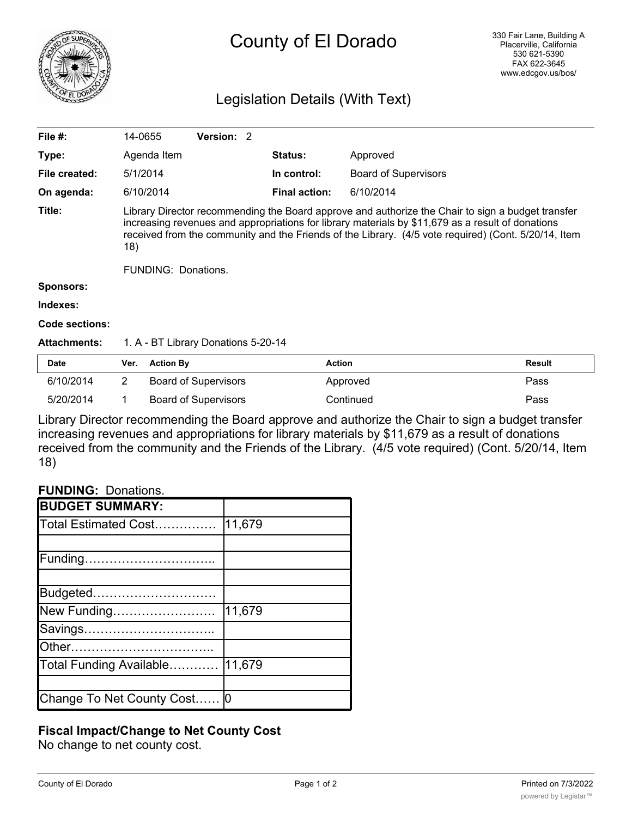

# County of El Dorado

## Legislation Details (With Text)

| File #:             | 14-0655                                                                                                                                                                                                                                                                                                               |                  | Version: 2                          |  |                      |                             |               |  |
|---------------------|-----------------------------------------------------------------------------------------------------------------------------------------------------------------------------------------------------------------------------------------------------------------------------------------------------------------------|------------------|-------------------------------------|--|----------------------|-----------------------------|---------------|--|
| Type:               |                                                                                                                                                                                                                                                                                                                       | Agenda Item      |                                     |  | <b>Status:</b>       | Approved                    |               |  |
| File created:       |                                                                                                                                                                                                                                                                                                                       | 5/1/2014         |                                     |  | In control:          | <b>Board of Supervisors</b> |               |  |
| On agenda:          |                                                                                                                                                                                                                                                                                                                       | 6/10/2014        |                                     |  | <b>Final action:</b> | 6/10/2014                   |               |  |
| Title:              | Library Director recommending the Board approve and authorize the Chair to sign a budget transfer<br>increasing revenues and appropriations for library materials by \$11,679 as a result of donations<br>received from the community and the Friends of the Library. (4/5 vote required) (Cont. 5/20/14, Item<br>18) |                  |                                     |  |                      |                             |               |  |
|                     | <b>FUNDING: Donations.</b>                                                                                                                                                                                                                                                                                            |                  |                                     |  |                      |                             |               |  |
| <b>Sponsors:</b>    |                                                                                                                                                                                                                                                                                                                       |                  |                                     |  |                      |                             |               |  |
| Indexes:            |                                                                                                                                                                                                                                                                                                                       |                  |                                     |  |                      |                             |               |  |
| Code sections:      |                                                                                                                                                                                                                                                                                                                       |                  |                                     |  |                      |                             |               |  |
| <b>Attachments:</b> |                                                                                                                                                                                                                                                                                                                       |                  | 1. A - BT Library Donations 5-20-14 |  |                      |                             |               |  |
| Date                | Ver.                                                                                                                                                                                                                                                                                                                  | <b>Action By</b> |                                     |  | <b>Action</b>        |                             | <b>Result</b> |  |
| 6/10/2014           | $\overline{2}$                                                                                                                                                                                                                                                                                                        |                  | <b>Board of Supervisors</b>         |  |                      | Approved                    | Pass          |  |
| 5/20/2014           |                                                                                                                                                                                                                                                                                                                       |                  | <b>Board of Supervisors</b>         |  |                      | Continued                   | Pass          |  |

Library Director recommending the Board approve and authorize the Chair to sign a budget transfer increasing revenues and appropriations for library materials by \$11,679 as a result of donations received from the community and the Friends of the Library. (4/5 vote required) (Cont. 5/20/14, Item 18)

#### **FUNDING:** Donations.

| <b>BUDGET SUMMARY:</b>        |        |
|-------------------------------|--------|
| Total Estimated Cost          | 11,679 |
|                               |        |
| Funding                       |        |
|                               |        |
| Budgeted                      |        |
| New Funding                   | 11,679 |
| Savings                       |        |
| Other                         |        |
| Total Funding Available       | 11,679 |
|                               |        |
| Change To Net County Cost   0 |        |

### **Fiscal Impact/Change to Net County Cost**

No change to net county cost.